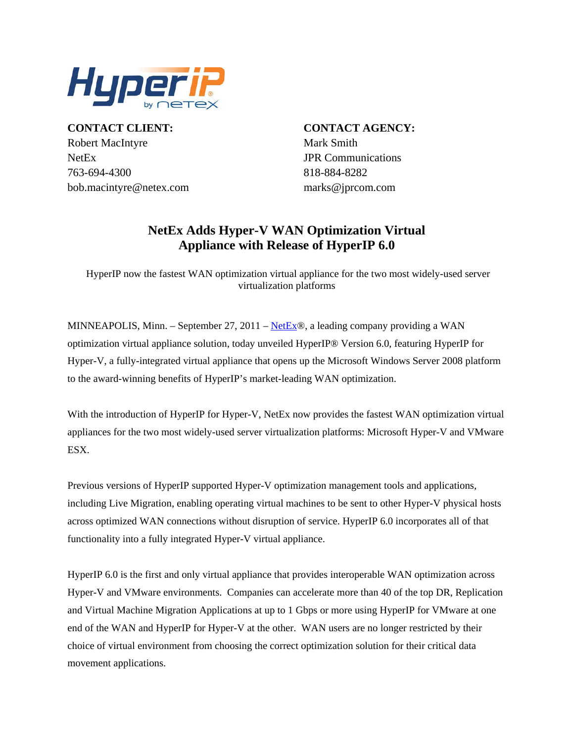

NetEx JPR Communications 4300 763-694- 818-884-8282 **CONTACT CLIENT:** Robert MacIntyre Mark Smith bob.macintyre@netex.com

**CONTACT AGENCY:**  $marks @iproom.com$ 

## **NetEx Adds Hyper-V WAN Optimization Virtual Appliance with Release of HyperIP 6.0**

 HyperIP now the fastest WAN optimization virtual appliance for the two most widely-used server virtualization platforms

MINNEAPOLIS, Minn. - September 27, 2011 - NetEx®, a leading company providing a WAN optimization virtual appliance solution, today unveiled HyperIP® Version 6.0, featuring HyperIP for Hyper-V, a fully-integrated virtual appliance that opens up the Microsoft Windows Server 2008 platform to the award-winning benefits of HyperIP's market-leading WAN optimization.

With the introduction of HyperIP for Hyper-V, NetEx now provides the fastest WAN optimization virtual appliances for the two most widely-used server virtualization platforms: Microsoft Hyper-V and VMware ESX.

Previous versions of HyperIP supported Hyper-V optimization management tools and applications, including Live Migration, enabling operating virtual machines to be sent to other Hyper-V physical hosts across optimized WAN connections without disruption of service. HyperIP 6.0 incorporates all of that functionality into a fully integrated Hyper-V virtual appliance.

HyperIP 6.0 is the first and only virtual appliance that provides interoperable WAN optimization across Hyper-V and VMware environments. Companies can accelerate more than 40 of the top DR, Replication and Virtual Machine Migration Applications at up to 1 Gbps or more using HyperIP for VMware at one end of the WAN and HyperIP for Hyper-V at the other. WAN users are no longer restricted by their choice of virtual environment from choosing the correct optimization solution for their critical data movement applications.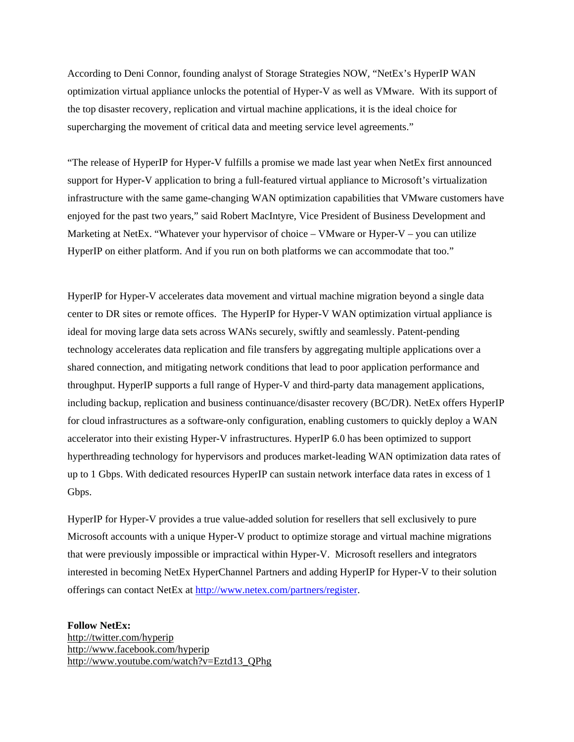According to Deni Connor, founding analyst of Storage Strategies NOW, "NetEx's HyperIP WAN optimization virtual appliance unlocks the potential of Hyper-V as well as VMware. With its support of the top disaster recovery, replication and virtual machine applications, it is the ideal choice for supercharging the movement of critical data and meeting service level agreements."

"The release of HyperIP for Hyper-V fulfills a promise we made last year when NetEx first announced support for Hyper-V application to bring a full-featured virtual appliance to Microsoft's virtualization infrastructure with the same game-changing WAN optimization capabilities that VMware customers have enjoyed for the past two years," said Robert MacIntyre, Vice President of Business Development and Marketing at NetEx. "Whatever your hypervisor of choice – VMware or Hyper-V – you can utilize HyperIP on either platform. And if you run on both platforms we can accommodate that too."

center to DR sites or remote offices. The HyperIP for Hyper-V WAN optimization virtual appliance is shared connection, and mitigating network conditions that lead to poor application performance and for cloud infrastructures as a software-only configuration, enabling customers to quickly deploy a WAN up to 1 Gbps. With dedicated resources HyperIP can sustain network interface data rates in excess of 1 HyperIP for Hyper-V accelerates data movement and virtual machine migration beyond a single data ideal for moving large data sets across WANs securely, swiftly and seamlessly. Patent-pending technology accelerates data replication and file transfers by aggregating multiple applications over a throughput. HyperIP supports a full range of Hyper-V and third-party data management applications, including backup, replication and business continuance/disaster recovery (BC/DR). NetEx offers HyperIP accelerator into their existing Hyper-V infrastructures. HyperIP 6.0 has been optimized to support hyperthreading technology for hypervisors and produces market-leading WAN optimization data rates of Gbps.

Microsoft accounts with a unique Hyper-V product to optimize storage and virtual machine migrations HyperIP for Hyper-V provides a true value-added solution for resellers that sell exclusively to pure that were previously impossible or impractical within Hyper-V. Microsoft resellers and integrators interested in becoming NetEx HyperChannel Partners and adding HyperIP for Hyper-V to their solution offerings can contact NetEx at <http://www.netex.com/partners/register>.

**Follow NetEx:**  http://twitter.com/hyperip http://www.facebook.com/hyperip http://www.youtube.com/watch?v=Eztd13\_QPhg